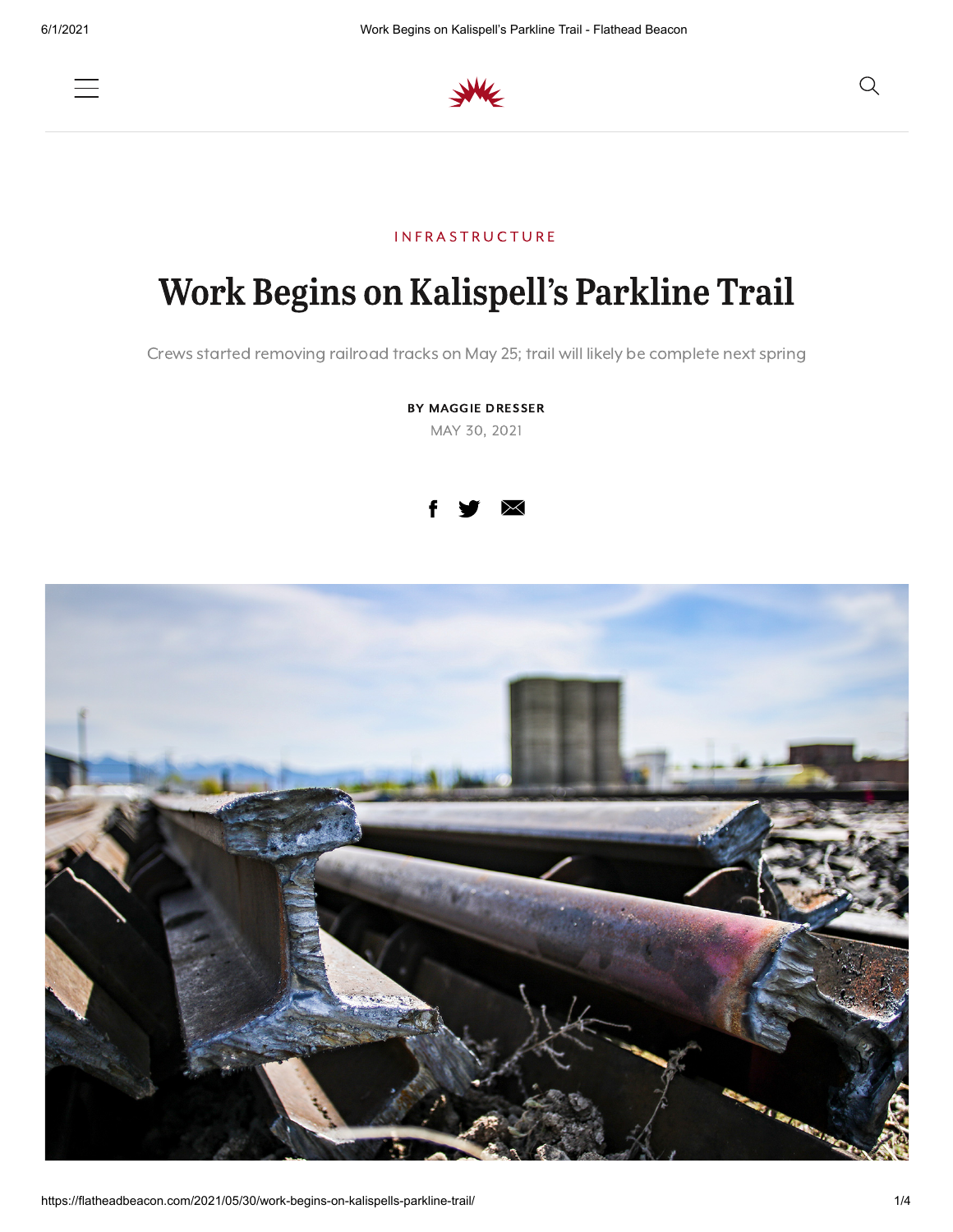



## **INFRASTRUCTURE**

## Begins on Kalispell's Parkline Trail

Crews started removing railroad tracks on May 25; trail will likely be complete next spring

BY MAGGIE DRESSER MAY 30, 2021



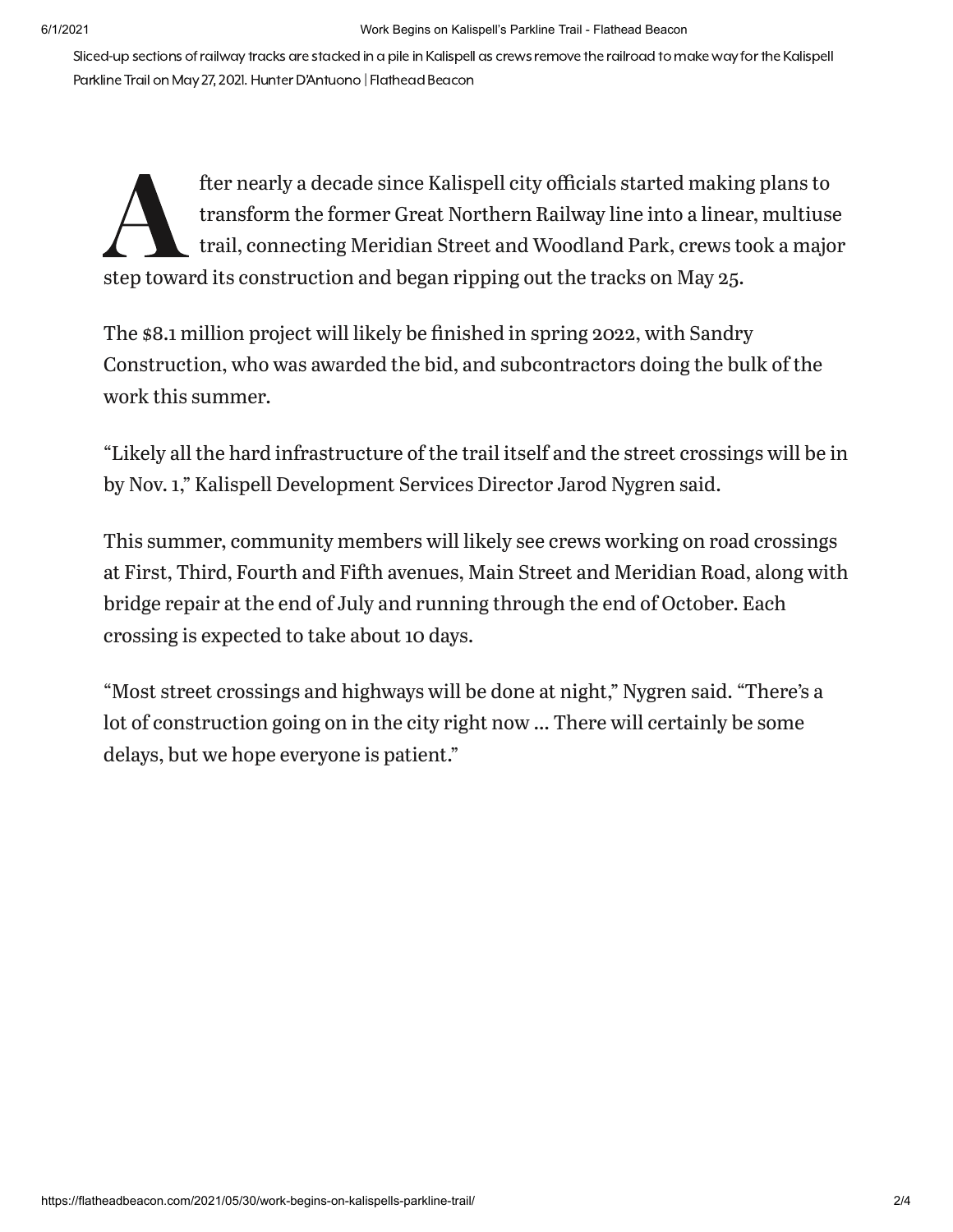Sliced-up sections of railway tracks are stacked in a pile in Kalispell as crews remove the railroad to make way for the Kalispell Parkline Trail on May 27, 2021. Hunter D'Antuono | Flathead Beacon

fter nearly a decade since Kalispell city officials started makin<br>transform the former Great Northern Railway line into a linea<br>trail, connecting Meridian Street and Woodland Park, crews to<br>step toward its construction and fter nearly a decade since Kalispell city officials started making plans to transform the former Great Northern Railway line into a linear, multiuse trail, connecting Meridian Street and Woodland Park, crews took a major

The \$8.1 million project will likely be finished in spring 2022, with Sandry Construction, who was awarded the bid, and subcontractors doing the bulk of the work this summer.

"Likely all the hard infrastructure of the trail itself and the street crossings will be in by Nov. 1," Kalispell Development Services Director Jarod Nygren said.

This summer, community members will likely see crews working on road crossings at First, Third, Fourth and Fifth avenues, Main Street and Meridian Road, along with bridge repair at the end of July and running through the end of October. Each crossing is expected to take about 10 days.

"Most street crossings and highways will be done at night," Nygren said. "There's a lot of construction going on in the city right now … There will certainly be some delays, but we hope everyone is patient."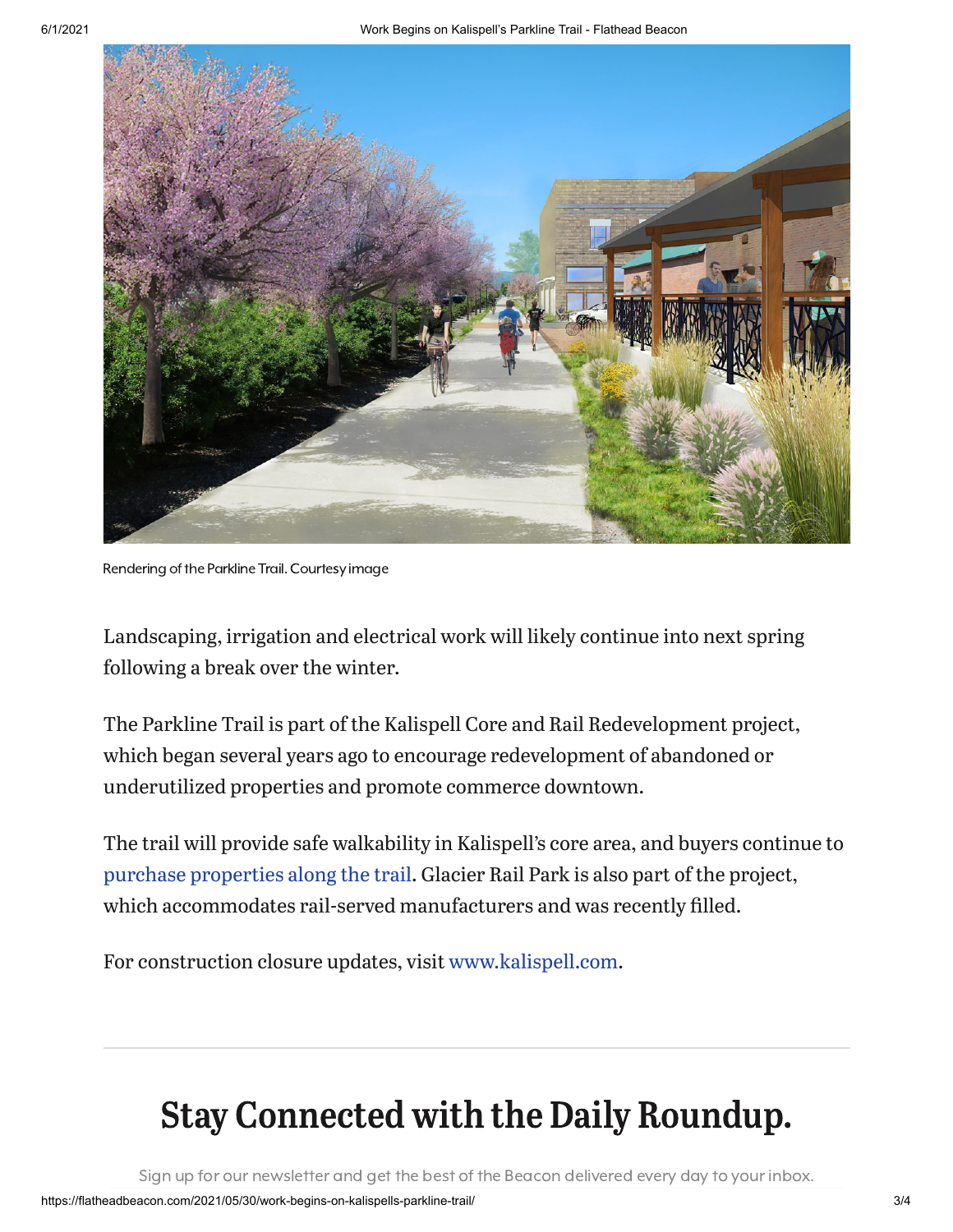

Rendering of the Parkline Trail. Courtesy image

Landscaping, irrigation and electrical work will likely continue into next spring following a break over the winter.

The Parkline Trail is part of the Kalispell Core and Rail Redevelopment project, which began several years ago to encourage redevelopment of abandoned or underutilized properties and promote commerce downtown.

The trail will provide safe walkability in Kalispell's core area, and buyers continue to purchase [properties](https://flatheadbeacon.com/2021/05/26/on-the-rise-3/) along the trail. Glacier Rail Park is also part of the project, which accommodates rail-served manufacturers and was recently filled.

For construction closure updates, visit [www.kalispell.com](https://www.kalispell.com/).

## Stay Connected with the Daily Roundup.

Sign up for our newsletter and get the best of the Beacon delivered every day to your inbox.

Stay